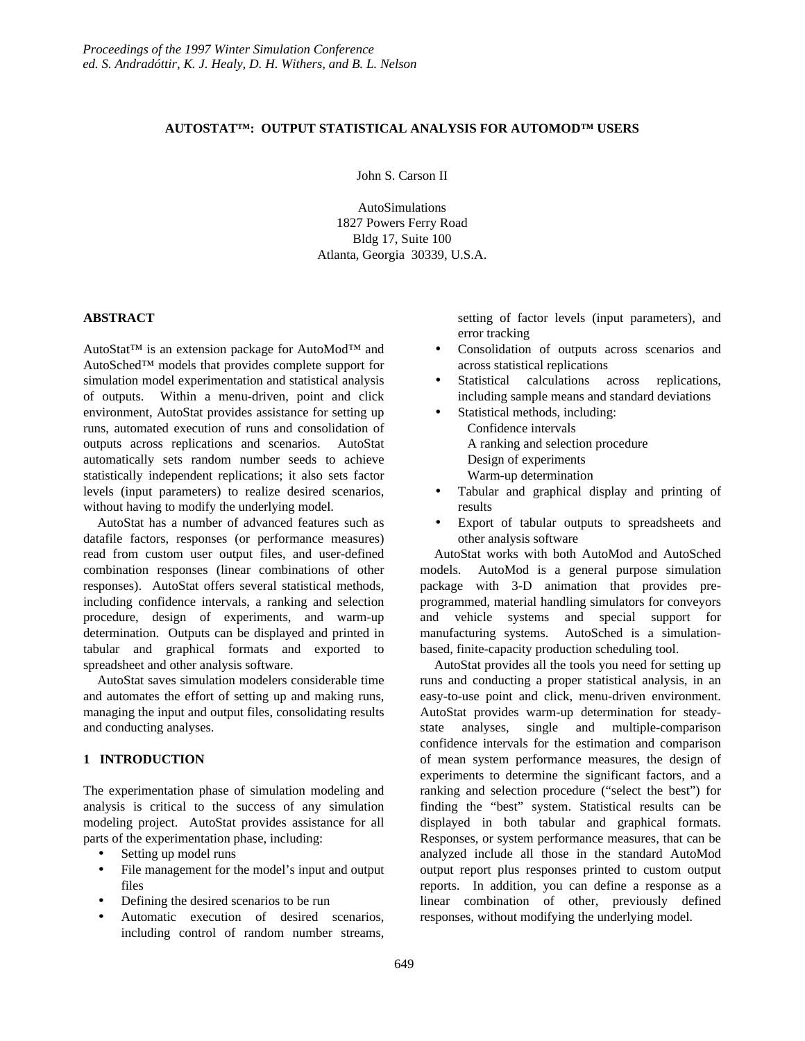# **AUTOSTAT™: OUTPUT STATISTICAL ANALYSIS FOR AUTOMOD™ USERS**

John S. Carson II

AutoSimulations 1827 Powers Ferry Road Bldg 17, Suite 100 Atlanta, Georgia 30339, U.S.A.

# **ABSTRACT**

AutoStat™ is an extension package for AutoMod™ and AutoSched™ models that provides complete support for simulation model experimentation and statistical analysis of outputs. Within a menu-driven, point and click environment, AutoStat provides assistance for setting up runs, automated execution of runs and consolidation of outputs across replications and scenarios. AutoStat automatically sets random number seeds to achieve statistically independent replications; it also sets factor levels (input parameters) to realize desired scenarios, without having to modify the underlying model.

AutoStat has a number of advanced features such as datafile factors, responses (or performance measures) read from custom user output files, and user-defined combination responses (linear combinations of other responses). AutoStat offers several statistical methods, including confidence intervals, a ranking and selection procedure, design of experiments, and warm-up determination. Outputs can be displayed and printed in tabular and graphical formats and exported to spreadsheet and other analysis software.

AutoStat saves simulation modelers considerable time and automates the effort of setting up and making runs, managing the input and output files, consolidating results and conducting analyses.

## **1 INTRODUCTION**

The experimentation phase of simulation modeling and analysis is critical to the success of any simulation modeling project. AutoStat provides assistance for all parts of the experimentation phase, including:

- Setting up model runs
- File management for the model's input and output files
- Defining the desired scenarios to be run
- Automatic execution of desired scenarios, including control of random number streams,

setting of factor levels (input parameters), and error tracking

- Consolidation of outputs across scenarios and across statistical replications
- Statistical calculations across replications, including sample means and standard deviations
	- Statistical methods, including:
		- Confidence intervals
		- A ranking and selection procedure
		- Design of experiments
		- Warm-up determination
- Tabular and graphical display and printing of results
- Export of tabular outputs to spreadsheets and other analysis software

AutoStat works with both AutoMod and AutoSched models. AutoMod is a general purpose simulation package with 3-D animation that provides preprogrammed, material handling simulators for conveyors and vehicle systems and special support for manufacturing systems. AutoSched is a simulationbased, finite-capacity production scheduling tool.

AutoStat provides all the tools you need for setting up runs and conducting a proper statistical analysis, in an easy-to-use point and click, menu-driven environment. AutoStat provides warm-up determination for steadystate analyses, single and multiple-comparison confidence intervals for the estimation and comparison of mean system performance measures, the design of experiments to determine the significant factors, and a ranking and selection procedure ("select the best") for finding the "best" system. Statistical results can be displayed in both tabular and graphical formats. Responses, or system performance measures, that can be analyzed include all those in the standard AutoMod output report plus responses printed to custom output reports. In addition, you can define a response as a linear combination of other, previously defined responses, without modifying the underlying model.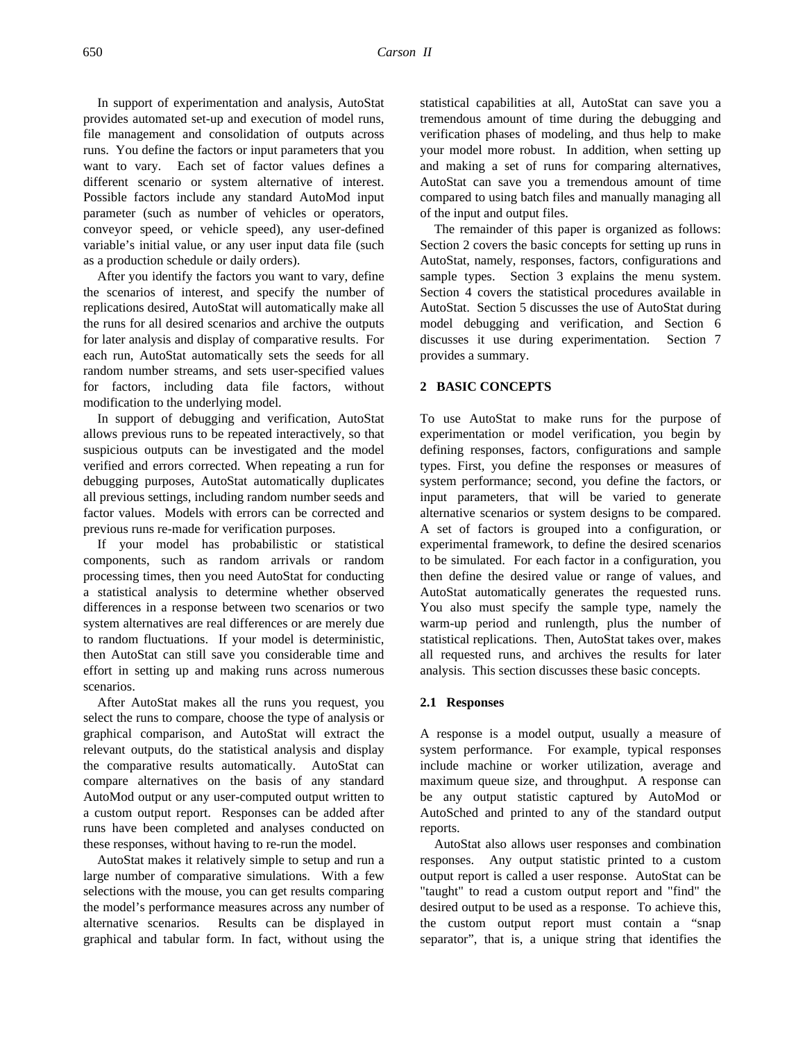In support of experimentation and analysis, AutoStat provides automated set-up and execution of model runs, file management and consolidation of outputs across runs. You define the factors or input parameters that you want to vary. Each set of factor values defines a different scenario or system alternative of interest. Possible factors include any standard AutoMod input parameter (such as number of vehicles or operators, conveyor speed, or vehicle speed), any user-defined variable's initial value, or any user input data file (such as a production schedule or daily orders).

After you identify the factors you want to vary, define the scenarios of interest, and specify the number of replications desired, AutoStat will automatically make all the runs for all desired scenarios and archive the outputs for later analysis and display of comparative results. For each run, AutoStat automatically sets the seeds for all random number streams, and sets user-specified values for factors, including data file factors, without modification to the underlying model.

In support of debugging and verification, AutoStat allows previous runs to be repeated interactively, so that suspicious outputs can be investigated and the model verified and errors corrected. When repeating a run for debugging purposes, AutoStat automatically duplicates all previous settings, including random number seeds and factor values. Models with errors can be corrected and previous runs re-made for verification purposes.

If your model has probabilistic or statistical components, such as random arrivals or random processing times, then you need AutoStat for conducting a statistical analysis to determine whether observed differences in a response between two scenarios or two system alternatives are real differences or are merely due to random fluctuations. If your model is deterministic, then AutoStat can still save you considerable time and effort in setting up and making runs across numerous scenarios.

After AutoStat makes all the runs you request, you select the runs to compare, choose the type of analysis or graphical comparison, and AutoStat will extract the relevant outputs, do the statistical analysis and display the comparative results automatically. AutoStat can compare alternatives on the basis of any standard AutoMod output or any user-computed output written to a custom output report. Responses can be added after runs have been completed and analyses conducted on these responses, without having to re-run the model.

AutoStat makes it relatively simple to setup and run a large number of comparative simulations. With a few selections with the mouse, you can get results comparing the model's performance measures across any number of alternative scenarios. Results can be displayed in graphical and tabular form. In fact, without using the statistical capabilities at all, AutoStat can save you a tremendous amount of time during the debugging and verification phases of modeling, and thus help to make your model more robust. In addition, when setting up and making a set of runs for comparing alternatives, AutoStat can save you a tremendous amount of time compared to using batch files and manually managing all of the input and output files.

The remainder of this paper is organized as follows: Section 2 covers the basic concepts for setting up runs in AutoStat, namely, responses, factors, configurations and sample types. Section 3 explains the menu system. Section 4 covers the statistical procedures available in AutoStat. Section 5 discusses the use of AutoStat during model debugging and verification, and Section 6 discusses it use during experimentation. Section 7 provides a summary.

# **2 BASIC CONCEPTS**

To use AutoStat to make runs for the purpose of experimentation or model verification, you begin by defining responses, factors, configurations and sample types. First, you define the responses or measures of system performance; second, you define the factors, or input parameters, that will be varied to generate alternative scenarios or system designs to be compared. A set of factors is grouped into a configuration, or experimental framework, to define the desired scenarios to be simulated. For each factor in a configuration, you then define the desired value or range of values, and AutoStat automatically generates the requested runs. You also must specify the sample type, namely the warm-up period and runlength, plus the number of statistical replications. Then, AutoStat takes over, makes all requested runs, and archives the results for later analysis. This section discusses these basic concepts.

#### **2.1 Responses**

A response is a model output, usually a measure of system performance. For example, typical responses include machine or worker utilization, average and maximum queue size, and throughput. A response can be any output statistic captured by AutoMod or AutoSched and printed to any of the standard output reports.

AutoStat also allows user responses and combination responses. Any output statistic printed to a custom output report is called a user response. AutoStat can be "taught" to read a custom output report and "find" the desired output to be used as a response. To achieve this, the custom output report must contain a "snap separator", that is, a unique string that identifies the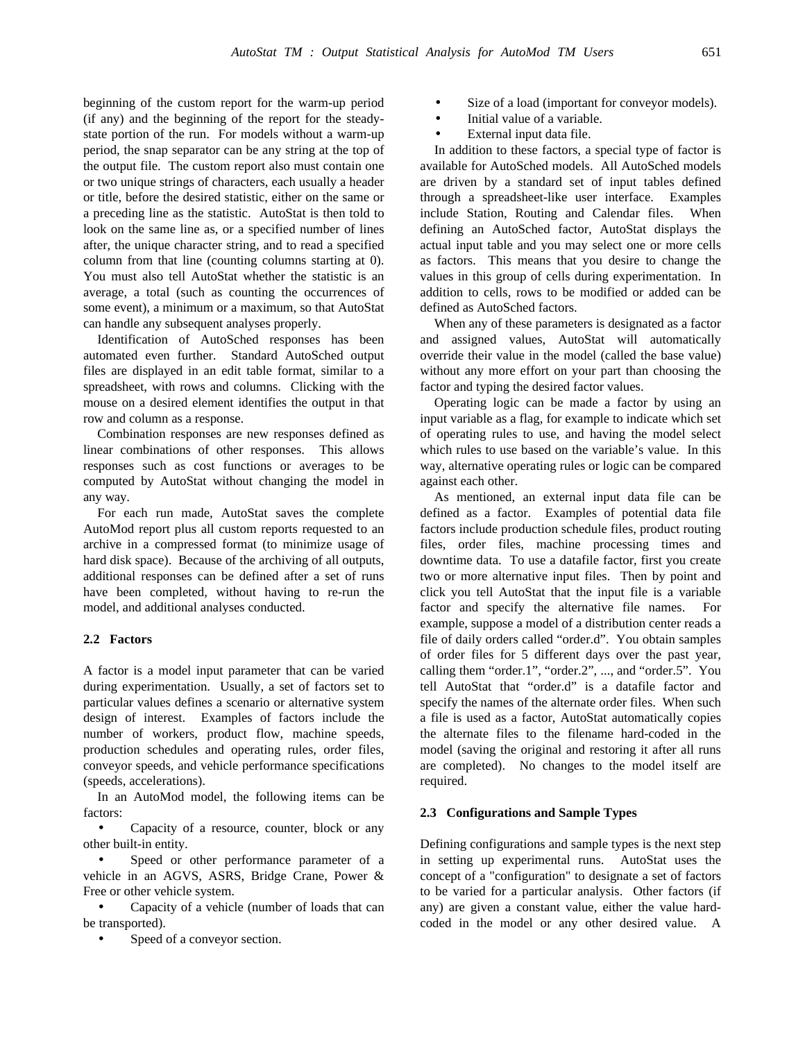beginning of the custom report for the warm-up period (if any) and the beginning of the report for the steadystate portion of the run. For models without a warm-up period, the snap separator can be any string at the top of the output file. The custom report also must contain one or two unique strings of characters, each usually a header or title, before the desired statistic, either on the same or a preceding line as the statistic. AutoStat is then told to look on the same line as, or a specified number of lines after, the unique character string, and to read a specified column from that line (counting columns starting at 0). You must also tell AutoStat whether the statistic is an average, a total (such as counting the occurrences of some event), a minimum or a maximum, so that AutoStat can handle any subsequent analyses properly.

Identification of AutoSched responses has been automated even further. Standard AutoSched output files are displayed in an edit table format, similar to a spreadsheet, with rows and columns. Clicking with the mouse on a desired element identifies the output in that row and column as a response.

Combination responses are new responses defined as linear combinations of other responses. This allows responses such as cost functions or averages to be computed by AutoStat without changing the model in any way.

For each run made, AutoStat saves the complete AutoMod report plus all custom reports requested to an archive in a compressed format (to minimize usage of hard disk space). Because of the archiving of all outputs, additional responses can be defined after a set of runs have been completed, without having to re-run the model, and additional analyses conducted.

### **2.2 Factors**

A factor is a model input parameter that can be varied during experimentation. Usually, a set of factors set to particular values defines a scenario or alternative system design of interest. Examples of factors include the number of workers, product flow, machine speeds, production schedules and operating rules, order files, conveyor speeds, and vehicle performance specifications (speeds, accelerations).

In an AutoMod model, the following items can be factors:

• Capacity of a resource, counter, block or any other built-in entity.

Speed or other performance parameter of a vehicle in an AGVS, ASRS, Bridge Crane, Power & Free or other vehicle system.

• Capacity of a vehicle (number of loads that can be transported).

Speed of a conveyor section.

- Size of a load (important for conveyor models).
- Initial value of a variable.
- External input data file.

In addition to these factors, a special type of factor is available for AutoSched models. All AutoSched models are driven by a standard set of input tables defined through a spreadsheet-like user interface. Examples include Station, Routing and Calendar files. When defining an AutoSched factor, AutoStat displays the actual input table and you may select one or more cells as factors. This means that you desire to change the values in this group of cells during experimentation. In addition to cells, rows to be modified or added can be defined as AutoSched factors.

When any of these parameters is designated as a factor and assigned values, AutoStat will automatically override their value in the model (called the base value) without any more effort on your part than choosing the factor and typing the desired factor values.

Operating logic can be made a factor by using an input variable as a flag, for example to indicate which set of operating rules to use, and having the model select which rules to use based on the variable's value. In this way, alternative operating rules or logic can be compared against each other.

As mentioned, an external input data file can be defined as a factor. Examples of potential data file factors include production schedule files, product routing files, order files, machine processing times and downtime data. To use a datafile factor, first you create two or more alternative input files. Then by point and click you tell AutoStat that the input file is a variable factor and specify the alternative file names. For example, suppose a model of a distribution center reads a file of daily orders called "order.d". You obtain samples of order files for 5 different days over the past year, calling them "order.1", "order.2", ..., and "order.5". You tell AutoStat that "order.d" is a datafile factor and specify the names of the alternate order files. When such a file is used as a factor, AutoStat automatically copies the alternate files to the filename hard-coded in the model (saving the original and restoring it after all runs are completed). No changes to the model itself are required.

## **2.3 Configurations and Sample Types**

Defining configurations and sample types is the next step in setting up experimental runs. AutoStat uses the concept of a "configuration" to designate a set of factors to be varied for a particular analysis. Other factors (if any) are given a constant value, either the value hardcoded in the model or any other desired value. A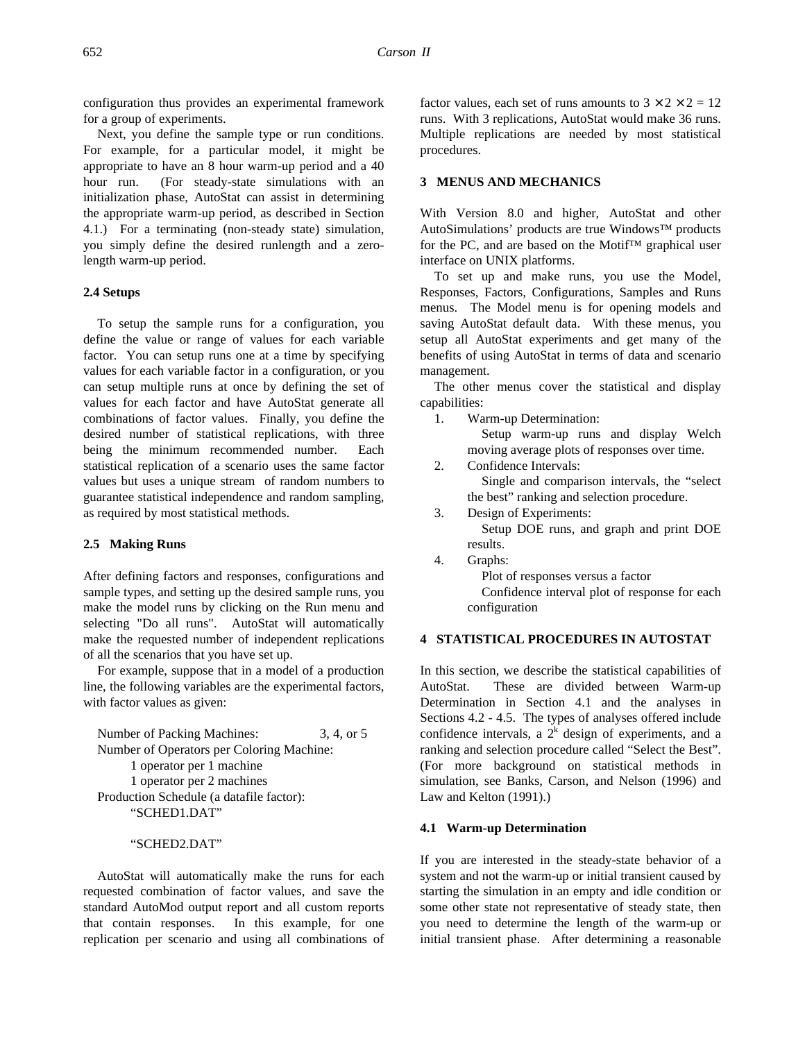configuration thus provides an experimental framework for a group of experiments.

Next, you define the sample type or run conditions. For example, for a particular model, it might be appropriate to have an 8 hour warm-up period and a 40 hour run. (For steady-state simulations with an initialization phase, AutoStat can assist in determining the appropriate warm-up period, as described in Section 4.1.) For a terminating (non-steady state) simulation, you simply define the desired runlength and a zerolength warm-up period.

## **2.4 Setups**

To setup the sample runs for a configuration, you define the value or range of values for each variable factor. You can setup runs one at a time by specifying values for each variable factor in a configuration, or you can setup multiple runs at once by defining the set of values for each factor and have AutoStat generate all combinations of factor values. Finally, you define the desired number of statistical replications, with three being the minimum recommended number. Each statistical replication of a scenario uses the same factor values but uses a unique stream of random numbers to guarantee statistical independence and random sampling, as required by most statistical methods.

### **2.5 Making Runs**

After defining factors and responses, configurations and sample types, and setting up the desired sample runs, you make the model runs by clicking on the Run menu and selecting "Do all runs". AutoStat will automatically make the requested number of independent replications of all the scenarios that you have set up.

For example, suppose that in a model of a production line, the following variables are the experimental factors, with factor values as given:

Number of Packing Machines: 3, 4, or 5 Number of Operators per Coloring Machine: 1 operator per 1 machine 1 operator per 2 machines Production Schedule (a datafile factor): "SCHED1.DAT"

## "SCHED2.DAT"

AutoStat will automatically make the runs for each requested combination of factor values, and save the standard AutoMod output report and all custom reports that contain responses. In this example, for one replication per scenario and using all combinations of factor values, each set of runs amounts to  $3 \times 2 \times 2 = 12$ runs. With 3 replications, AutoStat would make 36 runs. Multiple replications are needed by most statistical procedures.

## **3 MENUS AND MECHANICS**

With Version 8.0 and higher, AutoStat and other AutoSimulations' products are true Windows™ products for the PC, and are based on the Motif™ graphical user interface on UNIX platforms.

To set up and make runs, you use the Model, Responses, Factors, Configurations, Samples and Runs menus. The Model menu is for opening models and saving AutoStat default data. With these menus, you setup all AutoStat experiments and get many of the benefits of using AutoStat in terms of data and scenario management.

The other menus cover the statistical and display capabilities:

1. Warm-up Determination:

Setup warm-up runs and display Welch moving average plots of responses over time.

2. Confidence Intervals:

Single and comparison intervals, the "select the best" ranking and selection procedure.

3. Design of Experiments:

Setup DOE runs, and graph and print DOE results.

4. Graphs:

Plot of responses versus a factor Confidence interval plot of response for each

configuration

# **4 STATISTICAL PROCEDURES IN AUTOSTAT**

In this section, we describe the statistical capabilities of AutoStat. These are divided between Warm-up Determination in Section 4.1 and the analyses in Sections 4.2 - 4.5. The types of analyses offered include confidence intervals, a  $2<sup>k</sup>$  design of experiments, and a ranking and selection procedure called "Select the Best". (For more background on statistical methods in simulation, see Banks, Carson, and Nelson (1996) and Law and Kelton (1991).)

#### **4.1 Warm-up Determination**

If you are interested in the steady-state behavior of a system and not the warm-up or initial transient caused by starting the simulation in an empty and idle condition or some other state not representative of steady state, then you need to determine the length of the warm-up or initial transient phase. After determining a reasonable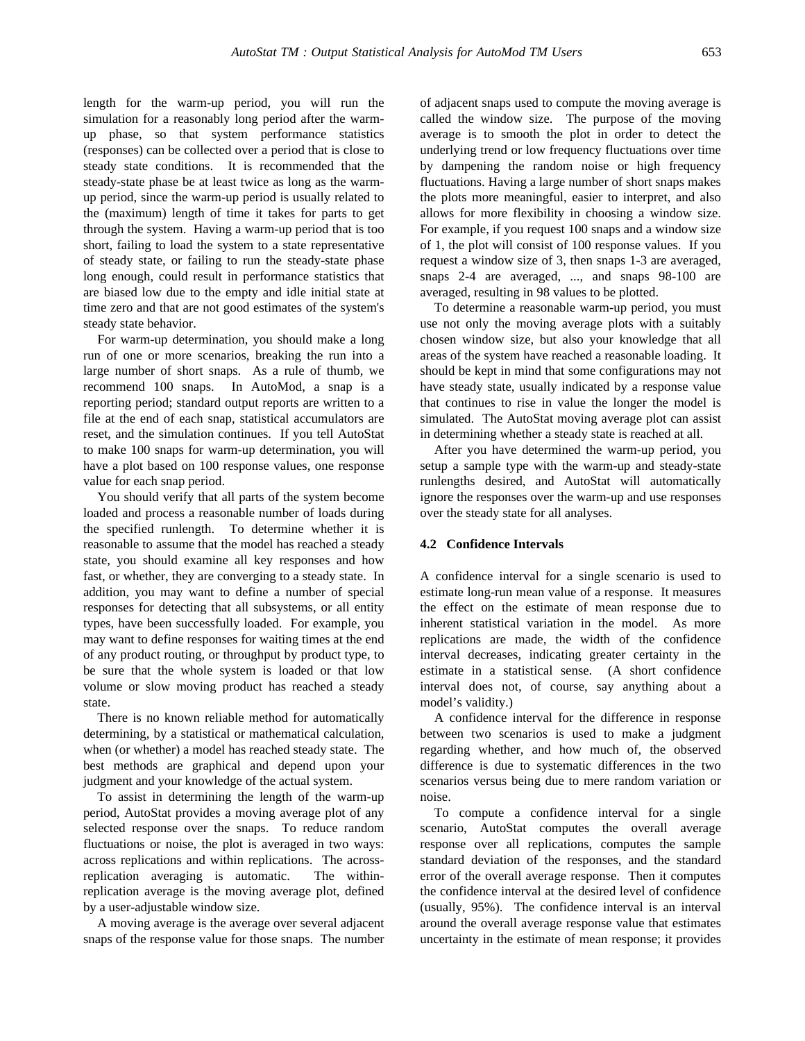length for the warm-up period, you will run the simulation for a reasonably long period after the warmup phase, so that system performance statistics (responses) can be collected over a period that is close to steady state conditions. It is recommended that the steady-state phase be at least twice as long as the warmup period, since the warm-up period is usually related to the (maximum) length of time it takes for parts to get through the system. Having a warm-up period that is too short, failing to load the system to a state representative of steady state, or failing to run the steady-state phase long enough, could result in performance statistics that are biased low due to the empty and idle initial state at time zero and that are not good estimates of the system's steady state behavior.

For warm-up determination, you should make a long run of one or more scenarios, breaking the run into a large number of short snaps. As a rule of thumb, we recommend 100 snaps. In AutoMod, a snap is a reporting period; standard output reports are written to a file at the end of each snap, statistical accumulators are reset, and the simulation continues. If you tell AutoStat to make 100 snaps for warm-up determination, you will have a plot based on 100 response values, one response value for each snap period.

You should verify that all parts of the system become loaded and process a reasonable number of loads during the specified runlength. To determine whether it is reasonable to assume that the model has reached a steady state, you should examine all key responses and how fast, or whether, they are converging to a steady state. In addition, you may want to define a number of special responses for detecting that all subsystems, or all entity types, have been successfully loaded. For example, you may want to define responses for waiting times at the end of any product routing, or throughput by product type, to be sure that the whole system is loaded or that low volume or slow moving product has reached a steady state.

There is no known reliable method for automatically determining, by a statistical or mathematical calculation, when (or whether) a model has reached steady state. The best methods are graphical and depend upon your judgment and your knowledge of the actual system.

To assist in determining the length of the warm-up period, AutoStat provides a moving average plot of any selected response over the snaps. To reduce random fluctuations or noise, the plot is averaged in two ways: across replications and within replications. The acrossreplication averaging is automatic. The withinreplication average is the moving average plot, defined by a user-adjustable window size.

A moving average is the average over several adjacent snaps of the response value for those snaps. The number of adjacent snaps used to compute the moving average is called the window size. The purpose of the moving average is to smooth the plot in order to detect the underlying trend or low frequency fluctuations over time by dampening the random noise or high frequency fluctuations. Having a large number of short snaps makes the plots more meaningful, easier to interpret, and also allows for more flexibility in choosing a window size. For example, if you request 100 snaps and a window size of 1, the plot will consist of 100 response values. If you request a window size of 3, then snaps 1-3 are averaged, snaps 2-4 are averaged, ..., and snaps 98-100 are averaged, resulting in 98 values to be plotted.

To determine a reasonable warm-up period, you must use not only the moving average plots with a suitably chosen window size, but also your knowledge that all areas of the system have reached a reasonable loading. It should be kept in mind that some configurations may not have steady state, usually indicated by a response value that continues to rise in value the longer the model is simulated. The AutoStat moving average plot can assist in determining whether a steady state is reached at all.

After you have determined the warm-up period, you setup a sample type with the warm-up and steady-state runlengths desired, and AutoStat will automatically ignore the responses over the warm-up and use responses over the steady state for all analyses.

### **4.2 Confidence Intervals**

A confidence interval for a single scenario is used to estimate long-run mean value of a response. It measures the effect on the estimate of mean response due to inherent statistical variation in the model. As more replications are made, the width of the confidence interval decreases, indicating greater certainty in the estimate in a statistical sense. (A short confidence interval does not, of course, say anything about a model's validity.)

A confidence interval for the difference in response between two scenarios is used to make a judgment regarding whether, and how much of, the observed difference is due to systematic differences in the two scenarios versus being due to mere random variation or noise.

To compute a confidence interval for a single scenario, AutoStat computes the overall average response over all replications, computes the sample standard deviation of the responses, and the standard error of the overall average response. Then it computes the confidence interval at the desired level of confidence (usually, 95%). The confidence interval is an interval around the overall average response value that estimates uncertainty in the estimate of mean response; it provides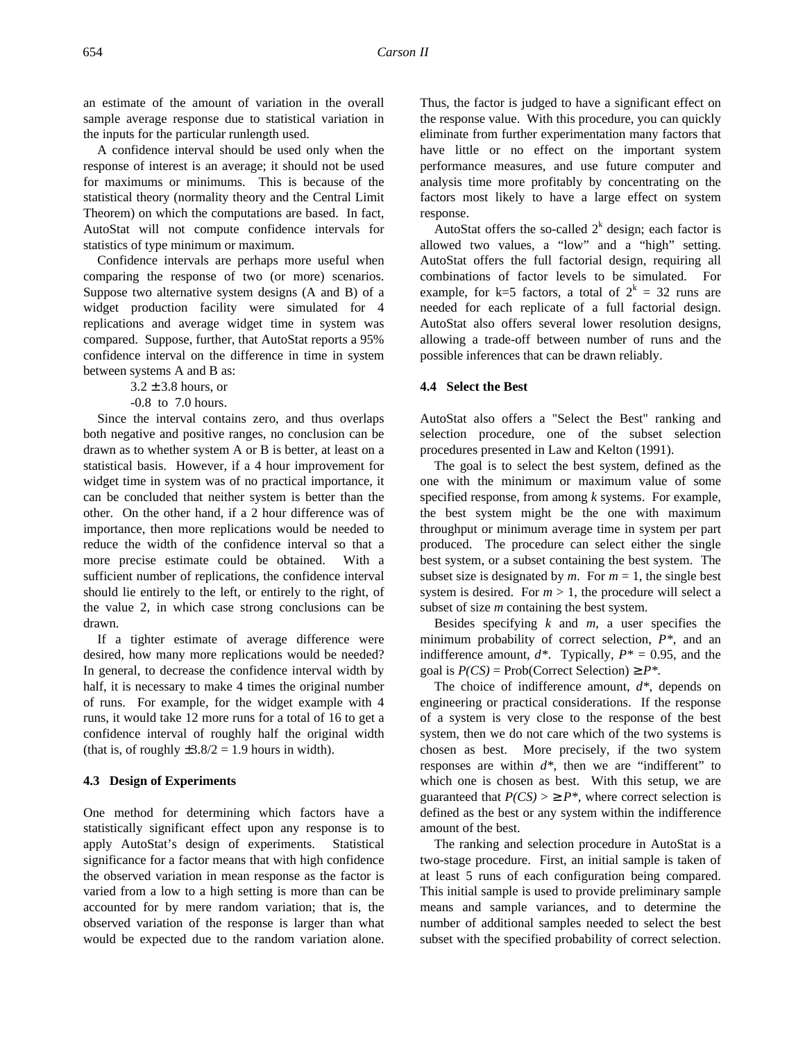an estimate of the amount of variation in the overall sample average response due to statistical variation in the inputs for the particular runlength used.

A confidence interval should be used only when the response of interest is an average; it should not be used for maximums or minimums. This is because of the statistical theory (normality theory and the Central Limit Theorem) on which the computations are based. In fact, AutoStat will not compute confidence intervals for statistics of type minimum or maximum.

Confidence intervals are perhaps more useful when comparing the response of two (or more) scenarios. Suppose two alternative system designs (A and B) of a widget production facility were simulated for 4 replications and average widget time in system was compared. Suppose, further, that AutoStat reports a 95% confidence interval on the difference in time in system between systems A and B as:

 $3.2 \pm 3.8$  hours, or

-0.8 to 7.0 hours.

Since the interval contains zero, and thus overlaps both negative and positive ranges, no conclusion can be drawn as to whether system A or B is better, at least on a statistical basis. However, if a 4 hour improvement for widget time in system was of no practical importance, it can be concluded that neither system is better than the other. On the other hand, if a 2 hour difference was of importance, then more replications would be needed to reduce the width of the confidence interval so that a more precise estimate could be obtained. With a sufficient number of replications, the confidence interval should lie entirely to the left, or entirely to the right, of the value 2, in which case strong conclusions can be drawn.

If a tighter estimate of average difference were desired, how many more replications would be needed? In general, to decrease the confidence interval width by half, it is necessary to make 4 times the original number of runs. For example, for the widget example with 4 runs, it would take 12 more runs for a total of 16 to get a confidence interval of roughly half the original width (that is, of roughly  $\pm 3.8/2 = 1.9$  hours in width).

## **4.3 Design of Experiments**

One method for determining which factors have a statistically significant effect upon any response is to apply AutoStat's design of experiments. Statistical significance for a factor means that with high confidence the observed variation in mean response as the factor is varied from a low to a high setting is more than can be accounted for by mere random variation; that is, the observed variation of the response is larger than what would be expected due to the random variation alone.

Thus, the factor is judged to have a significant effect on the response value. With this procedure, you can quickly eliminate from further experimentation many factors that have little or no effect on the important system performance measures, and use future computer and analysis time more profitably by concentrating on the factors most likely to have a large effect on system response.

AutoStat offers the so-called  $2^k$  design; each factor is allowed two values, a "low" and a "high" setting. AutoStat offers the full factorial design, requiring all combinations of factor levels to be simulated. For example, for k=5 factors, a total of  $2^k = 32$  runs are needed for each replicate of a full factorial design. AutoStat also offers several lower resolution designs, allowing a trade-off between number of runs and the possible inferences that can be drawn reliably.

## **4.4 Select the Best**

AutoStat also offers a "Select the Best" ranking and selection procedure, one of the subset selection procedures presented in Law and Kelton (1991).

The goal is to select the best system, defined as the one with the minimum or maximum value of some specified response, from among *k* systems. For example, the best system might be the one with maximum throughput or minimum average time in system per part produced. The procedure can select either the single best system, or a subset containing the best system. The subset size is designated by  $m$ . For  $m = 1$ , the single best system is desired. For  $m > 1$ , the procedure will select a subset of size *m* containing the best system.

Besides specifying *k* and *m*, a user specifies the minimum probability of correct selection, *P\**, and an indifference amount,  $d^*$ . Typically,  $P^* = 0.95$ , and the goal is  $P(CS) = \text{Prob}(\text{Correct Selection}) \ge P^*$ .

The choice of indifference amount, *d\**, depends on engineering or practical considerations. If the response of a system is very close to the response of the best system, then we do not care which of the two systems is chosen as best. More precisely, if the two system responses are within *d\**, then we are "indifferent" to which one is chosen as best. With this setup, we are guaranteed that  $P(CS) > \ge P^*$ , where correct selection is defined as the best or any system within the indifference amount of the best.

The ranking and selection procedure in AutoStat is a two-stage procedure. First, an initial sample is taken of at least 5 runs of each configuration being compared. This initial sample is used to provide preliminary sample means and sample variances, and to determine the number of additional samples needed to select the best subset with the specified probability of correct selection.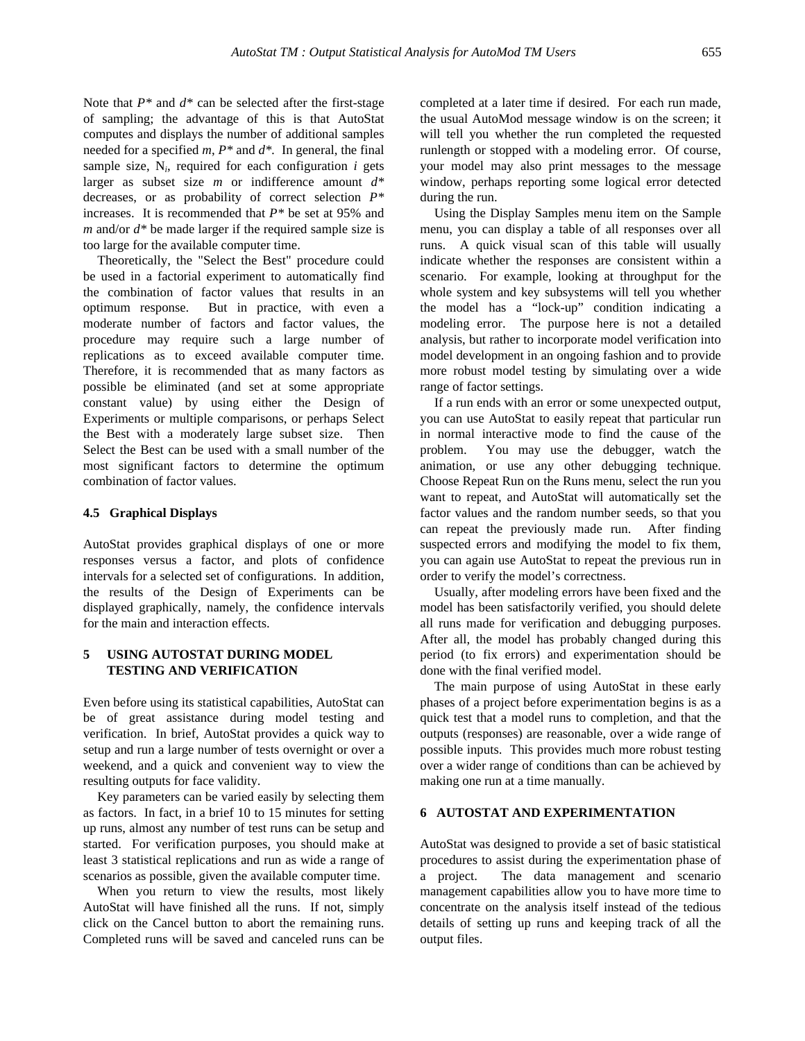Note that *P\** and *d\** can be selected after the first-stage of sampling; the advantage of this is that AutoStat computes and displays the number of additional samples needed for a specified *m*, *P\** and *d\*.* In general, the final sample size,  $N_i$ , required for each configuration  $i$  gets larger as subset size *m* or indifference amount *d\** decreases, or as probability of correct selection *P\** increases. It is recommended that *P\** be set at 95% and *m* and/or *d\** be made larger if the required sample size is too large for the available computer time.

Theoretically, the "Select the Best" procedure could be used in a factorial experiment to automatically find the combination of factor values that results in an optimum response. But in practice, with even a moderate number of factors and factor values, the procedure may require such a large number of replications as to exceed available computer time. Therefore, it is recommended that as many factors as possible be eliminated (and set at some appropriate constant value) by using either the Design of Experiments or multiple comparisons, or perhaps Select the Best with a moderately large subset size. Then Select the Best can be used with a small number of the most significant factors to determine the optimum combination of factor values.

## **4.5 Graphical Displays**

AutoStat provides graphical displays of one or more responses versus a factor, and plots of confidence intervals for a selected set of configurations. In addition, the results of the Design of Experiments can be displayed graphically, namely, the confidence intervals for the main and interaction effects.

# **5 USING AUTOSTAT DURING MODEL TESTING AND VERIFICATION**

Even before using its statistical capabilities, AutoStat can be of great assistance during model testing and verification. In brief, AutoStat provides a quick way to setup and run a large number of tests overnight or over a weekend, and a quick and convenient way to view the resulting outputs for face validity.

Key parameters can be varied easily by selecting them as factors. In fact, in a brief 10 to 15 minutes for setting up runs, almost any number of test runs can be setup and started. For verification purposes, you should make at least 3 statistical replications and run as wide a range of scenarios as possible, given the available computer time.

When you return to view the results, most likely AutoStat will have finished all the runs. If not, simply click on the Cancel button to abort the remaining runs. Completed runs will be saved and canceled runs can be completed at a later time if desired. For each run made, the usual AutoMod message window is on the screen; it will tell you whether the run completed the requested runlength or stopped with a modeling error. Of course, your model may also print messages to the message window, perhaps reporting some logical error detected during the run.

Using the Display Samples menu item on the Sample menu, you can display a table of all responses over all runs. A quick visual scan of this table will usually indicate whether the responses are consistent within a scenario. For example, looking at throughput for the whole system and key subsystems will tell you whether the model has a "lock-up" condition indicating a modeling error. The purpose here is not a detailed analysis, but rather to incorporate model verification into model development in an ongoing fashion and to provide more robust model testing by simulating over a wide range of factor settings.

If a run ends with an error or some unexpected output, you can use AutoStat to easily repeat that particular run in normal interactive mode to find the cause of the problem. You may use the debugger, watch the animation, or use any other debugging technique. Choose Repeat Run on the Runs menu, select the run you want to repeat, and AutoStat will automatically set the factor values and the random number seeds, so that you can repeat the previously made run. After finding suspected errors and modifying the model to fix them, you can again use AutoStat to repeat the previous run in order to verify the model's correctness.

Usually, after modeling errors have been fixed and the model has been satisfactorily verified, you should delete all runs made for verification and debugging purposes. After all, the model has probably changed during this period (to fix errors) and experimentation should be done with the final verified model.

The main purpose of using AutoStat in these early phases of a project before experimentation begins is as a quick test that a model runs to completion, and that the outputs (responses) are reasonable, over a wide range of possible inputs. This provides much more robust testing over a wider range of conditions than can be achieved by making one run at a time manually.

## **6 AUTOSTAT AND EXPERIMENTATION**

AutoStat was designed to provide a set of basic statistical procedures to assist during the experimentation phase of a project. The data management and scenario management capabilities allow you to have more time to concentrate on the analysis itself instead of the tedious details of setting up runs and keeping track of all the output files.